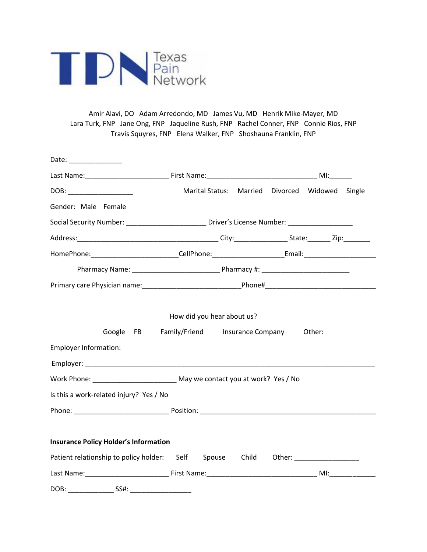

Amir Alavi, DO Adam Arredondo, MD James Vu, MD Henrik Mike-Mayer, MD Lara Turk, FNP Jane Ong, FNP Jaqueline Rush, FNP Rachel Conner, FNP Connie Rios, FNP Travis Squyres, FNP Elena Walker, FNP Shoshauna Franklin, FNP

| Date: ________________                                                                                                                  |                                                                                                     |  |  |        |  |
|-----------------------------------------------------------------------------------------------------------------------------------------|-----------------------------------------------------------------------------------------------------|--|--|--------|--|
|                                                                                                                                         |                                                                                                     |  |  |        |  |
|                                                                                                                                         | Marital Status: Married Divorced Widowed Single                                                     |  |  |        |  |
| Gender: Male Female                                                                                                                     |                                                                                                     |  |  |        |  |
|                                                                                                                                         | Social Security Number: _______________________________Driver's License Number: ___________________ |  |  |        |  |
|                                                                                                                                         |                                                                                                     |  |  |        |  |
| HomePhone:____________________________CellPhone:________________________Email:______________________                                    |                                                                                                     |  |  |        |  |
|                                                                                                                                         |                                                                                                     |  |  |        |  |
|                                                                                                                                         |                                                                                                     |  |  |        |  |
| Employer Information:<br>Employer: North Commission and Commission and Commission and Commission and Commission and Commission and Comm | How did you hear about us?<br>Google FB Family/Friend Insurance Company                             |  |  | Other: |  |
| Work Phone: _______________________________ May we contact you at work? Yes / No                                                        |                                                                                                     |  |  |        |  |
| Is this a work-related injury? Yes / No                                                                                                 |                                                                                                     |  |  |        |  |
|                                                                                                                                         |                                                                                                     |  |  |        |  |
| <b>Insurance Policy Holder's Information</b><br>Patient relationship to policy holder: Self Spouse Child Other: ________________        |                                                                                                     |  |  |        |  |
| SS#:<br>DOB:                                                                                                                            |                                                                                                     |  |  |        |  |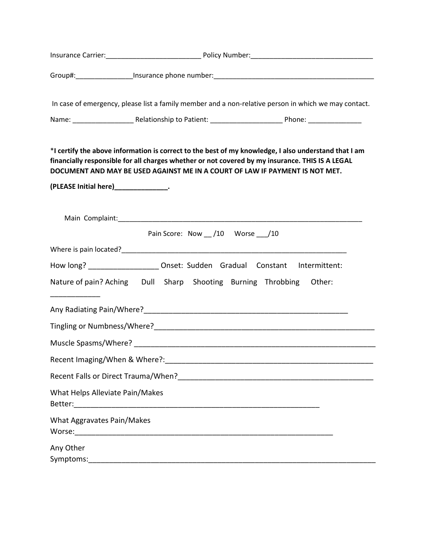|                                        | Insurance Carrier: 1990 Museum 2010 Policy Number: 2010 Mumber: 2010 Mumber: 2010 Mumber: 2010 Mumber: 2010 Mu                                                                                                                                                                          |        |
|----------------------------------------|-----------------------------------------------------------------------------------------------------------------------------------------------------------------------------------------------------------------------------------------------------------------------------------------|--------|
|                                        |                                                                                                                                                                                                                                                                                         |        |
|                                        | In case of emergency, please list a family member and a non-relative person in which we may contact.                                                                                                                                                                                    |        |
|                                        |                                                                                                                                                                                                                                                                                         |        |
|                                        | *I certify the above information is correct to the best of my knowledge, I also understand that I am<br>financially responsible for all charges whether or not covered by my insurance. THIS IS A LEGAL<br>DOCUMENT AND MAY BE USED AGAINST ME IN A COURT OF LAW IF PAYMENT IS NOT MET. |        |
| (PLEASE Initial here)________________. |                                                                                                                                                                                                                                                                                         |        |
|                                        | Main Complaint: National Complaint: National Complete Complete Complete Complete Complete Complete Complete Co<br>Pain Score: Now /10 Worse /10                                                                                                                                         |        |
|                                        |                                                                                                                                                                                                                                                                                         |        |
|                                        | How long? _______________________ Onset: Sudden Gradual Constant Intermittent:                                                                                                                                                                                                          |        |
|                                        | Nature of pain? Aching  Dull  Sharp  Shooting  Burning  Throbbing                                                                                                                                                                                                                       | Other: |
|                                        |                                                                                                                                                                                                                                                                                         |        |
|                                        | Tingling or Numbness/Where?<br><u> University</u> management and the management of the management of the management of the management of the management of the management of the management of the management of the management of th                                                   |        |
|                                        |                                                                                                                                                                                                                                                                                         |        |
| Recent Imaging/When & Where?:          |                                                                                                                                                                                                                                                                                         |        |
|                                        |                                                                                                                                                                                                                                                                                         |        |
| What Helps Alleviate Pain/Makes        |                                                                                                                                                                                                                                                                                         |        |
| What Aggravates Pain/Makes             |                                                                                                                                                                                                                                                                                         |        |
| Any Other                              |                                                                                                                                                                                                                                                                                         |        |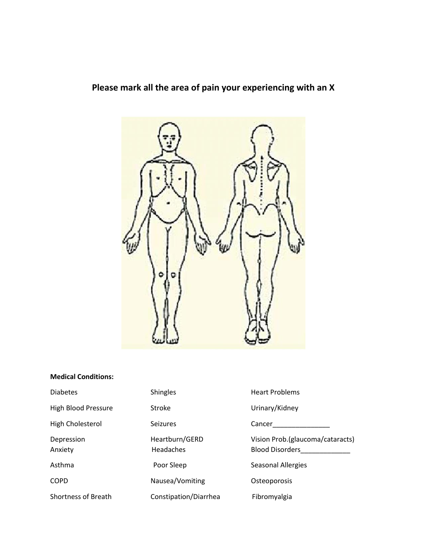**Please mark all the area of pain your experiencing with an X**



## **Medical Conditions:**

| <b>Diabetes</b>            | <b>Shingles</b>             | <b>Heart Problems</b>                                      |  |
|----------------------------|-----------------------------|------------------------------------------------------------|--|
| <b>High Blood Pressure</b> | Stroke                      | Urinary/Kidney                                             |  |
| High Cholesterol           | <b>Seizures</b>             | Cancer                                                     |  |
| Depression<br>Anxiety      | Heartburn/GERD<br>Headaches | Vision Prob.(glaucoma/cataracts)<br><b>Blood Disorders</b> |  |
| Asthma                     | Poor Sleep                  | Seasonal Allergies                                         |  |
| <b>COPD</b>                | Nausea/Vomiting             | Osteoporosis                                               |  |
| <b>Shortness of Breath</b> | Constipation/Diarrhea       | Fibromyalgia                                               |  |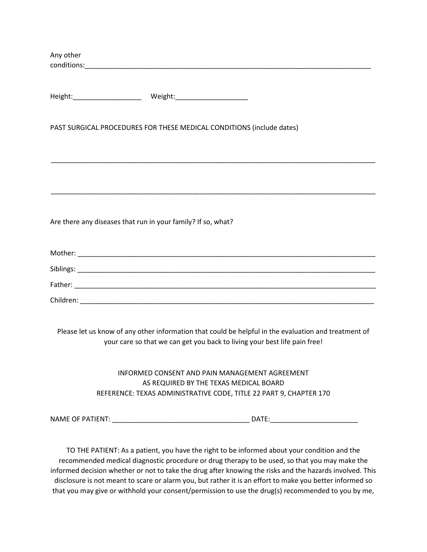| Any other |                                                                                                                                                                                                                                |
|-----------|--------------------------------------------------------------------------------------------------------------------------------------------------------------------------------------------------------------------------------|
|           |                                                                                                                                                                                                                                |
|           |                                                                                                                                                                                                                                |
|           | Height: Meight: Meight: Meight: Meight: Meight: Meight: Meight: Meight: Meight: Meight: Meight: Meight: Meight: Meight: Meight: Meight: Meight: Meight: Meight: Meight: Meight: Meight: Meight: Meight: Meight: Meight: Meight |
|           |                                                                                                                                                                                                                                |
|           | PAST SURGICAL PROCEDURES FOR THESE MEDICAL CONDITIONS (include dates)                                                                                                                                                          |
|           |                                                                                                                                                                                                                                |
|           |                                                                                                                                                                                                                                |
|           |                                                                                                                                                                                                                                |
|           |                                                                                                                                                                                                                                |
|           | Are there any diseases that run in your family? If so, what?                                                                                                                                                                   |
|           |                                                                                                                                                                                                                                |
|           |                                                                                                                                                                                                                                |
|           |                                                                                                                                                                                                                                |
|           |                                                                                                                                                                                                                                |
|           |                                                                                                                                                                                                                                |
|           |                                                                                                                                                                                                                                |
|           | Please let us know of any other information that could be helpful in the evaluation and treatment of                                                                                                                           |
|           | your care so that we can get you back to living your best life pain free!                                                                                                                                                      |
|           | INFORMED CONSENT AND PAIN MANAGEMENT AGREEMENT                                                                                                                                                                                 |
|           | AS REQUIRED BY THE TEXAS MEDICAL BOARD                                                                                                                                                                                         |
|           | REFERENCE: TEXAS ADMINISTRATIVE CODE, TITLE 22 PART 9, CHAPTER 170                                                                                                                                                             |
|           |                                                                                                                                                                                                                                |
|           |                                                                                                                                                                                                                                |

TO THE PATIENT: As a patient, you have the right to be informed about your condition and the recommended medical diagnostic procedure or drug therapy to be used, so that you may make the informed decision whether or not to take the drug after knowing the risks and the hazards involved. This disclosure is not meant to scare or alarm you, but rather it is an effort to make you better informed so that you may give or withhold your consent/permission to use the drug(s) recommended to you by me,